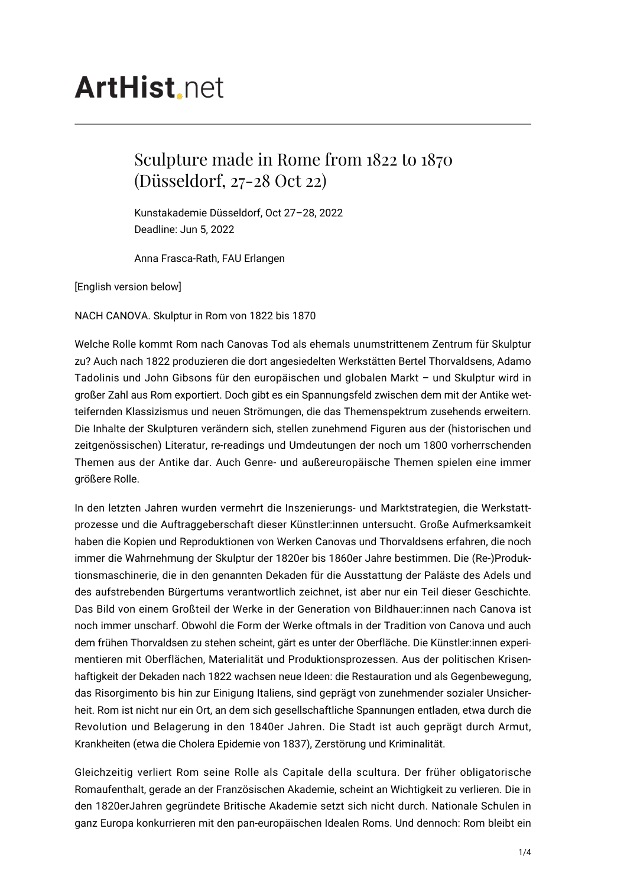# **ArtHist**, net

## Sculpture made in Rome from 1822 to 1870 (Düsseldorf, 27-28 Oct 22)

Kunstakademie Düsseldorf, Oct 27–28, 2022 Deadline: Jun 5, 2022

Anna Frasca-Rath, FAU Erlangen

[English version below]

NACH CANOVA. Skulptur in Rom von 1822 bis 1870

Welche Rolle kommt Rom nach Canovas Tod als ehemals unumstrittenem Zentrum für Skulptur zu? Auch nach 1822 produzieren die dort angesiedelten Werkstätten Bertel Thorvaldsens, Adamo Tadolinis und John Gibsons für den europäischen und globalen Markt – und Skulptur wird in großer Zahl aus Rom exportiert. Doch gibt es ein Spannungsfeld zwischen dem mit der Antike wetteifernden Klassizismus und neuen Strömungen, die das Themenspektrum zusehends erweitern. Die Inhalte der Skulpturen verändern sich, stellen zunehmend Figuren aus der (historischen und zeitgenössischen) Literatur, re-readings und Umdeutungen der noch um 1800 vorherrschenden Themen aus der Antike dar. Auch Genre- und außereuropäische Themen spielen eine immer größere Rolle.

In den letzten Jahren wurden vermehrt die Inszenierungs- und Marktstrategien, die Werkstattprozesse und die Auftraggeberschaft dieser Künstler:innen untersucht. Große Aufmerksamkeit haben die Kopien und Reproduktionen von Werken Canovas und Thorvaldsens erfahren, die noch immer die Wahrnehmung der Skulptur der 1820er bis 1860er Jahre bestimmen. Die (Re-)Produktionsmaschinerie, die in den genannten Dekaden für die Ausstattung der Paläste des Adels und des aufstrebenden Bürgertums verantwortlich zeichnet, ist aber nur ein Teil dieser Geschichte. Das Bild von einem Großteil der Werke in der Generation von Bildhauer:innen nach Canova ist noch immer unscharf. Obwohl die Form der Werke oftmals in der Tradition von Canova und auch dem frühen Thorvaldsen zu stehen scheint, gärt es unter der Oberfläche. Die Künstler:innen experimentieren mit Oberflächen, Materialität und Produktionsprozessen. Aus der politischen Krisenhaftigkeit der Dekaden nach 1822 wachsen neue Ideen: die Restauration und als Gegenbewegung, das Risorgimento bis hin zur Einigung Italiens, sind geprägt von zunehmender sozialer Unsicherheit. Rom ist nicht nur ein Ort, an dem sich gesellschaftliche Spannungen entladen, etwa durch die Revolution und Belagerung in den 1840er Jahren. Die Stadt ist auch geprägt durch Armut, Krankheiten (etwa die Cholera Epidemie von 1837), Zerstörung und Kriminalität.

Gleichzeitig verliert Rom seine Rolle als Capitale della scultura. Der früher obligatorische Romaufenthalt, gerade an der Französischen Akademie, scheint an Wichtigkeit zu verlieren. Die in den 1820erJahren gegründete Britische Akademie setzt sich nicht durch. Nationale Schulen in ganz Europa konkurrieren mit den pan-europäischen Idealen Roms. Und dennoch: Rom bleibt ein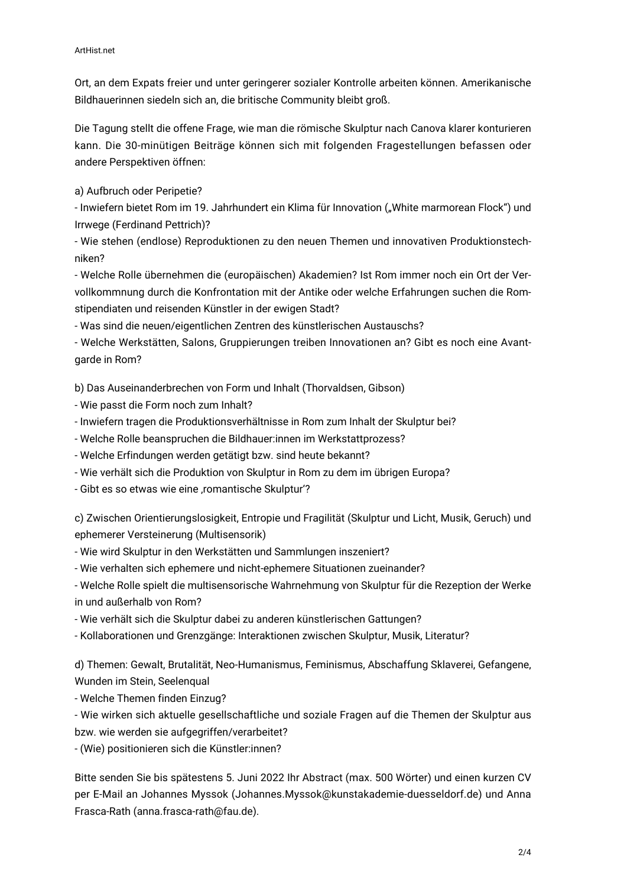Ort, an dem Expats freier und unter geringerer sozialer Kontrolle arbeiten können. Amerikanische Bildhauerinnen siedeln sich an, die britische Community bleibt groß.

Die Tagung stellt die offene Frage, wie man die römische Skulptur nach Canova klarer konturieren kann. Die 30-minütigen Beiträge können sich mit folgenden Fragestellungen befassen oder andere Perspektiven öffnen:

a) Aufbruch oder Peripetie?

- Inwiefern bietet Rom im 19. Jahrhundert ein Klima für Innovation ("White marmorean Flock") und Irrwege (Ferdinand Pettrich)?

- Wie stehen (endlose) Reproduktionen zu den neuen Themen und innovativen Produktionstechniken?

- Welche Rolle übernehmen die (europäischen) Akademien? Ist Rom immer noch ein Ort der Vervollkommnung durch die Konfrontation mit der Antike oder welche Erfahrungen suchen die Romstipendiaten und reisenden Künstler in der ewigen Stadt?

- Was sind die neuen/eigentlichen Zentren des künstlerischen Austauschs?

- Welche Werkstätten, Salons, Gruppierungen treiben Innovationen an? Gibt es noch eine Avantgarde in Rom?

b) Das Auseinanderbrechen von Form und Inhalt (Thorvaldsen, Gibson)

- Wie passt die Form noch zum Inhalt?
- Inwiefern tragen die Produktionsverhältnisse in Rom zum Inhalt der Skulptur bei?
- Welche Rolle beanspruchen die Bildhauer:innen im Werkstattprozess?
- Welche Erfindungen werden getätigt bzw. sind heute bekannt?
- Wie verhält sich die Produktion von Skulptur in Rom zu dem im übrigen Europa?
- Gibt es so etwas wie eine ,romantische Skulptur'?

c) Zwischen Orientierungslosigkeit, Entropie und Fragilität (Skulptur und Licht, Musik, Geruch) und ephemerer Versteinerung (Multisensorik)

- Wie wird Skulptur in den Werkstätten und Sammlungen inszeniert?
- Wie verhalten sich ephemere und nicht-ephemere Situationen zueinander?

- Welche Rolle spielt die multisensorische Wahrnehmung von Skulptur für die Rezeption der Werke in und außerhalb von Rom?

- Wie verhält sich die Skulptur dabei zu anderen künstlerischen Gattungen?
- Kollaborationen und Grenzgänge: Interaktionen zwischen Skulptur, Musik, Literatur?

d) Themen: Gewalt, Brutalität, Neo-Humanismus, Feminismus, Abschaffung Sklaverei, Gefangene, Wunden im Stein, Seelenqual

- Welche Themen finden Einzug?

- Wie wirken sich aktuelle gesellschaftliche und soziale Fragen auf die Themen der Skulptur aus bzw. wie werden sie aufgegriffen/verarbeitet?

- (Wie) positionieren sich die Künstler:innen?

Bitte senden Sie bis spätestens 5. Juni 2022 Ihr Abstract (max. 500 Wörter) und einen kurzen CV per E-Mail an Johannes Myssok (Johannes.Myssok@kunstakademie-duesseldorf.de) und Anna Frasca-Rath (anna.frasca-rath@fau.de).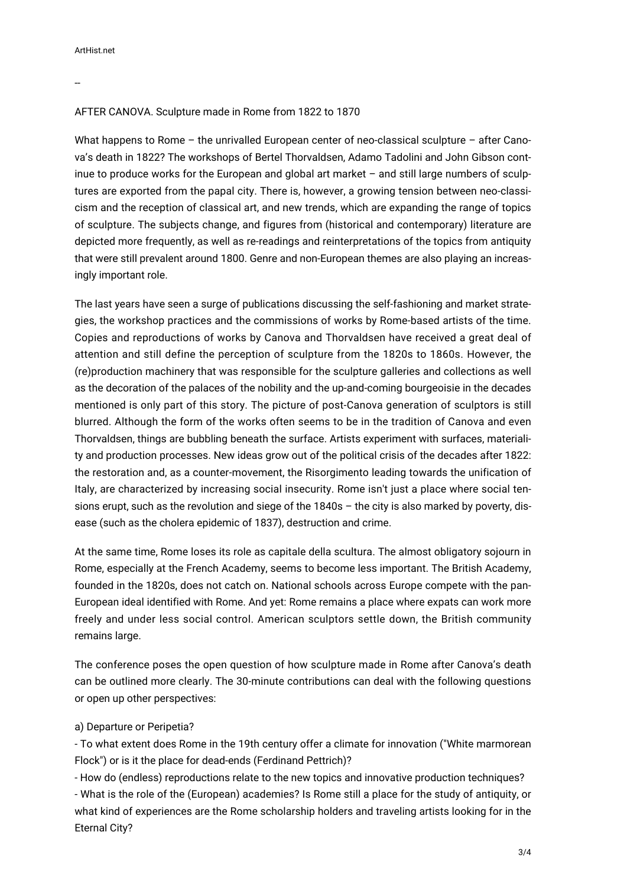--

### AFTER CANOVA. Sculpture made in Rome from 1822 to 1870

What happens to Rome – the unrivalled European center of neo-classical sculpture – after Canova's death in 1822? The workshops of Bertel Thorvaldsen, Adamo Tadolini and John Gibson continue to produce works for the European and global art market – and still large numbers of sculptures are exported from the papal city. There is, however, a growing tension between neo-classicism and the reception of classical art, and new trends, which are expanding the range of topics of sculpture. The subjects change, and figures from (historical and contemporary) literature are depicted more frequently, as well as re-readings and reinterpretations of the topics from antiquity that were still prevalent around 1800. Genre and non-European themes are also playing an increasingly important role.

The last years have seen a surge of publications discussing the self-fashioning and market strategies, the workshop practices and the commissions of works by Rome-based artists of the time. Copies and reproductions of works by Canova and Thorvaldsen have received a great deal of attention and still define the perception of sculpture from the 1820s to 1860s. However, the (re)production machinery that was responsible for the sculpture galleries and collections as well as the decoration of the palaces of the nobility and the up-and-coming bourgeoisie in the decades mentioned is only part of this story. The picture of post-Canova generation of sculptors is still blurred. Although the form of the works often seems to be in the tradition of Canova and even Thorvaldsen, things are bubbling beneath the surface. Artists experiment with surfaces, materiality and production processes. New ideas grow out of the political crisis of the decades after 1822: the restoration and, as a counter-movement, the Risorgimento leading towards the unification of Italy, are characterized by increasing social insecurity. Rome isn't just a place where social tensions erupt, such as the revolution and siege of the 1840s – the city is also marked by poverty, disease (such as the cholera epidemic of 1837), destruction and crime.

At the same time, Rome loses its role as capitale della scultura. The almost obligatory sojourn in Rome, especially at the French Academy, seems to become less important. The British Academy, founded in the 1820s, does not catch on. National schools across Europe compete with the pan-European ideal identified with Rome. And yet: Rome remains a place where expats can work more freely and under less social control. American sculptors settle down, the British community remains large.

The conference poses the open question of how sculpture made in Rome after Canova's death can be outlined more clearly. The 30-minute contributions can deal with the following questions or open up other perspectives:

#### a) Departure or Peripetia?

- To what extent does Rome in the 19th century offer a climate for innovation ("White marmorean Flock") or is it the place for dead-ends (Ferdinand Pettrich)?

- How do (endless) reproductions relate to the new topics and innovative production techniques? - What is the role of the (European) academies? Is Rome still a place for the study of antiquity, or what kind of experiences are the Rome scholarship holders and traveling artists looking for in the Eternal City?